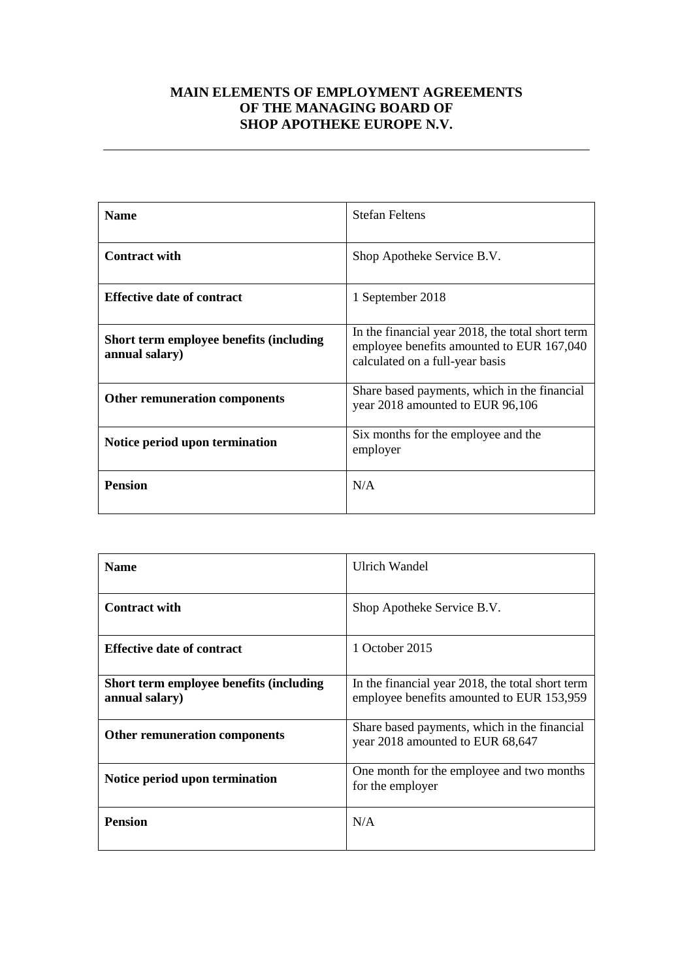## **MAIN ELEMENTS OF EMPLOYMENT AGREEMENTS OF THE MANAGING BOARD OF SHOP APOTHEKE EUROPE N.V.**

| <b>Name</b>                                               | <b>Stefan Feltens</b>                                                                                                            |
|-----------------------------------------------------------|----------------------------------------------------------------------------------------------------------------------------------|
| <b>Contract with</b>                                      | Shop Apotheke Service B.V.                                                                                                       |
| <b>Effective date of contract</b>                         | 1 September 2018                                                                                                                 |
| Short term employee benefits (including<br>annual salary) | In the financial year 2018, the total short term<br>employee benefits amounted to EUR 167,040<br>calculated on a full-year basis |
| Other remuneration components                             | Share based payments, which in the financial<br>year 2018 amounted to EUR 96,106                                                 |
| Notice period upon termination                            | Six months for the employee and the<br>employer                                                                                  |
| <b>Pension</b>                                            | N/A                                                                                                                              |

| <b>Name</b>                                               | Ulrich Wandel                                                                                 |
|-----------------------------------------------------------|-----------------------------------------------------------------------------------------------|
| <b>Contract with</b>                                      | Shop Apotheke Service B.V.                                                                    |
| <b>Effective date of contract</b>                         | 1 October 2015                                                                                |
| Short term employee benefits (including<br>annual salary) | In the financial year 2018, the total short term<br>employee benefits amounted to EUR 153,959 |
| <b>Other remuneration components</b>                      | Share based payments, which in the financial<br>year 2018 amounted to EUR 68,647              |
| Notice period upon termination                            | One month for the employee and two months<br>for the employer                                 |
| <b>Pension</b>                                            | N/A                                                                                           |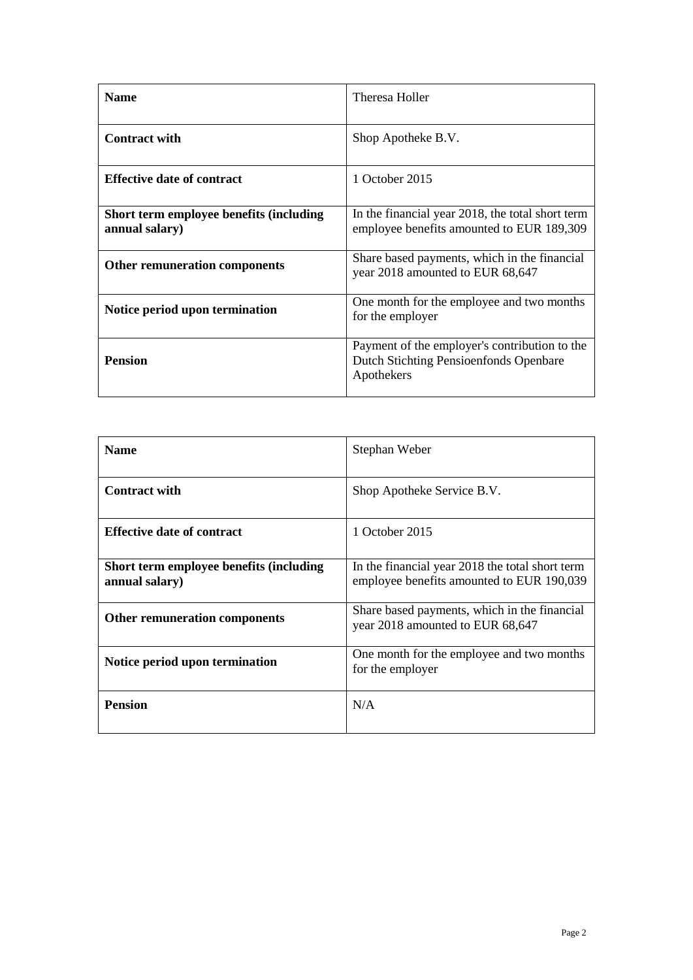| <b>Name</b>                                               | Theresa Holler                                                                                        |
|-----------------------------------------------------------|-------------------------------------------------------------------------------------------------------|
| <b>Contract with</b>                                      | Shop Apotheke B.V.                                                                                    |
| <b>Effective date of contract</b>                         | 1 October 2015                                                                                        |
| Short term employee benefits (including<br>annual salary) | In the financial year 2018, the total short term<br>employee benefits amounted to EUR 189,309         |
| <b>Other remuneration components</b>                      | Share based payments, which in the financial<br>year 2018 amounted to EUR 68,647                      |
| Notice period upon termination                            | One month for the employee and two months<br>for the employer                                         |
| <b>Pension</b>                                            | Payment of the employer's contribution to the<br>Dutch Stichting Pensioenfonds Openbare<br>Apothekers |

| <b>Name</b>                                               | Stephan Weber                                                                                |
|-----------------------------------------------------------|----------------------------------------------------------------------------------------------|
| <b>Contract with</b>                                      | Shop Apotheke Service B.V.                                                                   |
| <b>Effective date of contract</b>                         | 1 October 2015                                                                               |
| Short term employee benefits (including<br>annual salary) | In the financial year 2018 the total short term<br>employee benefits amounted to EUR 190,039 |
| <b>Other remuneration components</b>                      | Share based payments, which in the financial<br>year 2018 amounted to EUR 68,647             |
| Notice period upon termination                            | One month for the employee and two months<br>for the employer                                |
| <b>Pension</b>                                            | N/A                                                                                          |